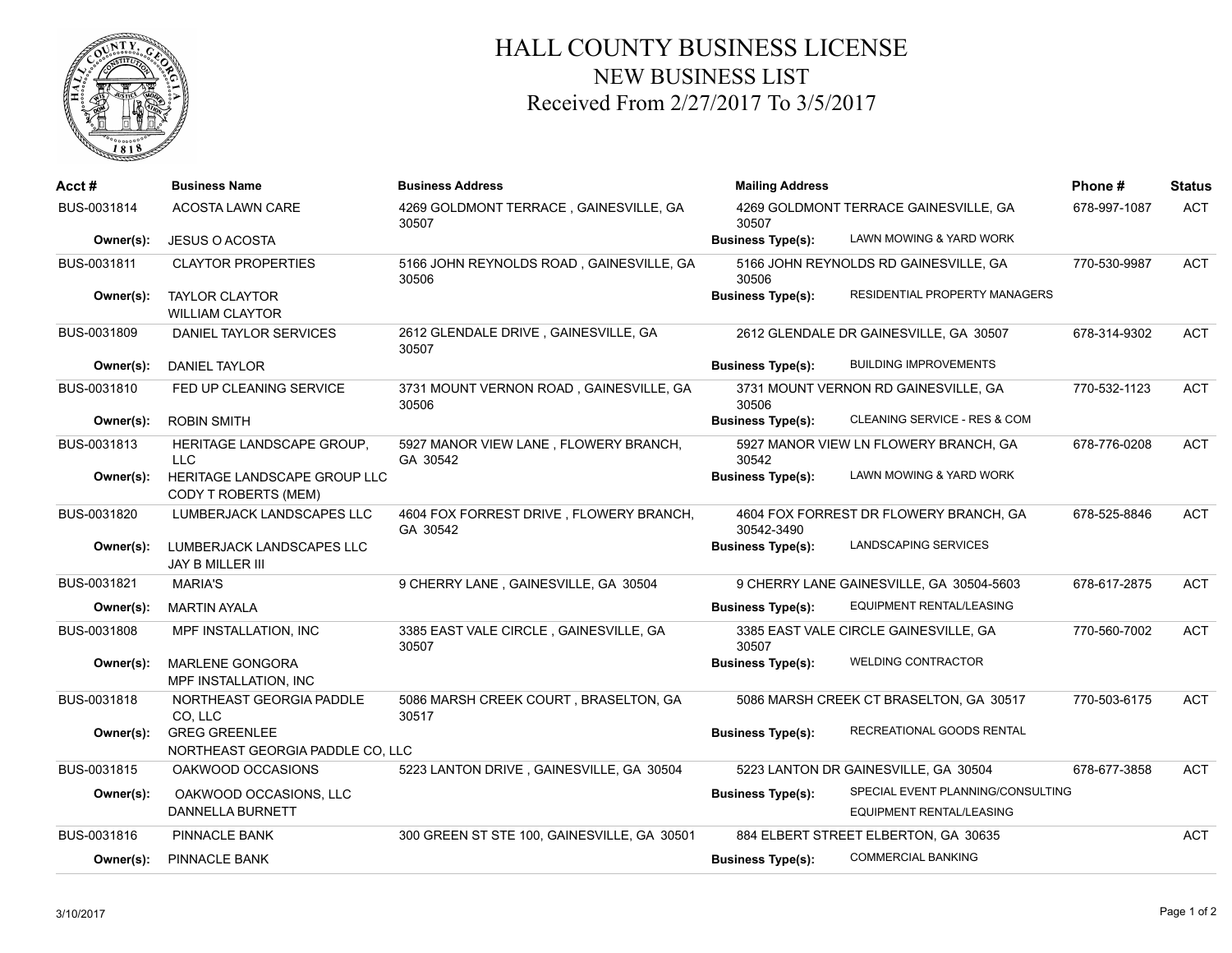

## HALL COUNTY BUSINESS LICENSE NEW BUSINESS LIST Received From 2/27/2017 To 3/5/2017

| $Acct \#$   | <b>Business Name</b>                                     | <b>Business Address</b>                             | <b>Mailing Address</b>                         |                                                                      | Phone#       | <b>Status</b> |
|-------------|----------------------------------------------------------|-----------------------------------------------------|------------------------------------------------|----------------------------------------------------------------------|--------------|---------------|
| BUS-0031814 | <b>ACOSTA LAWN CARE</b>                                  | 4269 GOLDMONT TERRACE, GAINESVILLE, GA<br>30507     | 4269 GOLDMONT TERRACE GAINESVILLE, GA<br>30507 |                                                                      | 678-997-1087 | <b>ACT</b>    |
| Owner(s):   | <b>JESUS O ACOSTA</b>                                    |                                                     | <b>Business Type(s):</b>                       | LAWN MOWING & YARD WORK                                              |              |               |
| BUS-0031811 | <b>CLAYTOR PROPERTIES</b>                                | 5166 JOHN REYNOLDS ROAD, GAINESVILLE, GA<br>30506   | 30506                                          | 5166 JOHN REYNOLDS RD GAINESVILLE, GA                                | 770-530-9987 | <b>ACT</b>    |
| Owner(s):   | <b>TAYLOR CLAYTOR</b><br><b>WILLIAM CLAYTOR</b>          |                                                     | <b>Business Type(s):</b>                       | RESIDENTIAL PROPERTY MANAGERS                                        |              |               |
| BUS-0031809 | DANIEL TAYLOR SERVICES                                   | 2612 GLENDALE DRIVE, GAINESVILLE, GA<br>30507       |                                                | 2612 GLENDALE DR GAINESVILLE, GA 30507                               | 678-314-9302 | <b>ACT</b>    |
| Owner(s):   | <b>DANIEL TAYLOR</b>                                     |                                                     | <b>Business Type(s):</b>                       | <b>BUILDING IMPROVEMENTS</b>                                         |              |               |
| BUS-0031810 | FED UP CLEANING SERVICE                                  | 3731 MOUNT VERNON ROAD, GAINESVILLE, GA<br>30506    | 30506                                          | 3731 MOUNT VERNON RD GAINESVILLE, GA                                 | 770-532-1123 | <b>ACT</b>    |
| Owner(s):   | <b>ROBIN SMITH</b>                                       |                                                     | <b>Business Type(s):</b>                       | CLEANING SERVICE - RES & COM                                         |              |               |
| BUS-0031813 | HERITAGE LANDSCAPE GROUP,<br><b>LLC</b>                  | 5927 MANOR VIEW LANE, FLOWERY BRANCH,<br>GA 30542   | 30542                                          | 5927 MANOR VIEW LN FLOWERY BRANCH, GA                                | 678-776-0208 | <b>ACT</b>    |
| Owner(s):   | HERITAGE LANDSCAPE GROUP LLC<br>CODY T ROBERTS (MEM)     |                                                     | <b>Business Type(s):</b>                       | LAWN MOWING & YARD WORK                                              |              |               |
| BUS-0031820 | LUMBERJACK LANDSCAPES LLC                                | 4604 FOX FORREST DRIVE, FLOWERY BRANCH,<br>GA 30542 | 30542-3490                                     | 4604 FOX FORREST DR FLOWERY BRANCH, GA                               | 678-525-8846 | <b>ACT</b>    |
| Owner(s):   | LUMBERJACK LANDSCAPES LLC<br>JAY B MILLER III            |                                                     | <b>Business Type(s):</b>                       | <b>LANDSCAPING SERVICES</b>                                          |              |               |
| BUS-0031821 | <b>MARIA'S</b>                                           | 9 CHERRY LANE, GAINESVILLE, GA 30504                | 9 CHERRY LANE GAINESVILLE, GA 30504-5603       |                                                                      | 678-617-2875 | <b>ACT</b>    |
| Owner(s):   | <b>MARTIN AYALA</b>                                      |                                                     | <b>Business Type(s):</b>                       | EQUIPMENT RENTAL/LEASING                                             |              |               |
| BUS-0031808 | MPF INSTALLATION, INC                                    | 3385 EAST VALE CIRCLE, GAINESVILLE, GA<br>30507     | 30507                                          | 3385 EAST VALE CIRCLE GAINESVILLE, GA                                | 770-560-7002 | <b>ACT</b>    |
| Owner(s):   | <b>MARLENE GONGORA</b><br>MPF INSTALLATION, INC          |                                                     | <b>Business Type(s):</b>                       | <b>WELDING CONTRACTOR</b>                                            |              |               |
| BUS-0031818 | NORTHEAST GEORGIA PADDLE<br>CO, LLC                      | 5086 MARSH CREEK COURT, BRASELTON, GA<br>30517      |                                                | 5086 MARSH CREEK CT BRASELTON, GA 30517                              | 770-503-6175 | <b>ACT</b>    |
| Owner(s):   | <b>GREG GREENLEE</b><br>NORTHEAST GEORGIA PADDLE CO, LLC |                                                     | <b>Business Type(s):</b>                       | RECREATIONAL GOODS RENTAL                                            |              |               |
| BUS-0031815 | OAKWOOD OCCASIONS                                        | 5223 LANTON DRIVE, GAINESVILLE, GA 30504            |                                                | 5223 LANTON DR GAINESVILLE, GA 30504                                 | 678-677-3858 | <b>ACT</b>    |
| Owner(s):   | OAKWOOD OCCASIONS, LLC<br>DANNELLA BURNETT               |                                                     | <b>Business Type(s):</b>                       | SPECIAL EVENT PLANNING/CONSULTING<br><b>EQUIPMENT RENTAL/LEASING</b> |              |               |
| BUS-0031816 | PINNACLE BANK                                            | 300 GREEN ST STE 100, GAINESVILLE, GA 30501         | 884 ELBERT STREET ELBERTON, GA 30635           |                                                                      | ACT          |               |
| Owner(s):   | PINNACLE BANK                                            |                                                     | <b>Business Type(s):</b>                       | <b>COMMERCIAL BANKING</b>                                            |              |               |
|             |                                                          |                                                     |                                                |                                                                      |              |               |